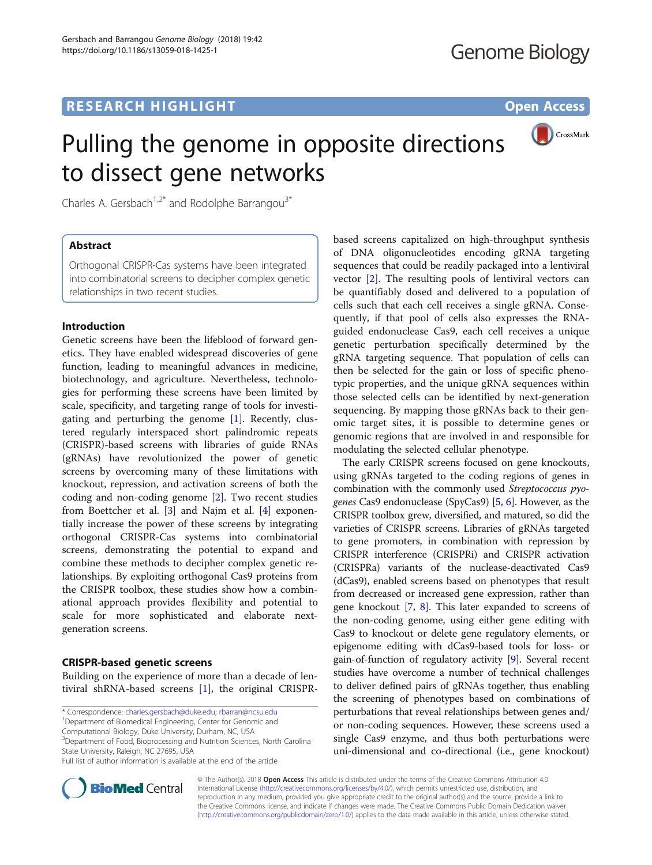# **RESEARCH HIGHLIGHT CONSUMING THE OPEN ACCESS**



# Pulling the genome in opposite directions to dissect gene networks

Charles A. Gersbach<sup>1,2\*</sup> and Rodolphe Barrangou<sup>3\*</sup>

# Abstract

Orthogonal CRISPR-Cas systems have been integrated into combinatorial screens to decipher complex genetic relationships in two recent studies.

# Introduction

Genetic screens have been the lifeblood of forward genetics. They have enabled widespread discoveries of gene function, leading to meaningful advances in medicine, biotechnology, and agriculture. Nevertheless, technologies for performing these screens have been limited by scale, specificity, and targeting range of tools for investigating and perturbing the genome [\[1](#page-2-0)]. Recently, clustered regularly interspaced short palindromic repeats (CRISPR)-based screens with libraries of guide RNAs (gRNAs) have revolutionized the power of genetic screens by overcoming many of these limitations with knockout, repression, and activation screens of both the coding and non-coding genome [[2](#page-2-0)]. Two recent studies from Boettcher et al. [[3\]](#page-2-0) and Najm et al. [[4\]](#page-3-0) exponentially increase the power of these screens by integrating orthogonal CRISPR-Cas systems into combinatorial screens, demonstrating the potential to expand and combine these methods to decipher complex genetic relationships. By exploiting orthogonal Cas9 proteins from the CRISPR toolbox, these studies show how a combinational approach provides flexibility and potential to scale for more sophisticated and elaborate nextgeneration screens.

## CRISPR-based genetic screens

Building on the experience of more than a decade of lentiviral shRNA-based screens [[1\]](#page-2-0), the original CRISPR-

\* Correspondence: [charles.gersbach@duke.edu;](mailto:charles.gersbach@duke.edu) [rbarran@ncsu.edu](mailto:rbarran@ncsu.edu) <sup>1</sup>

<sup>1</sup>Department of Biomedical Engineering, Center for Genomic and

Computational Biology, Duke University, Durham, NC, USA

<sup>3</sup>Department of Food, Bioprocessing and Nutrition Sciences, North Carolina State University, Raleigh, NC 27695, USA

Full list of author information is available at the end of the article



based screens capitalized on high-throughput synthesis of DNA oligonucleotides encoding gRNA targeting sequences that could be readily packaged into a lentiviral vector [[2](#page-2-0)]. The resulting pools of lentiviral vectors can be quantifiably dosed and delivered to a population of cells such that each cell receives a single gRNA. Consequently, if that pool of cells also expresses the RNAguided endonuclease Cas9, each cell receives a unique genetic perturbation specifically determined by the gRNA targeting sequence. That population of cells can then be selected for the gain or loss of specific phenotypic properties, and the unique gRNA sequences within those selected cells can be identified by next-generation sequencing. By mapping those gRNAs back to their genomic target sites, it is possible to determine genes or genomic regions that are involved in and responsible for modulating the selected cellular phenotype.

The early CRISPR screens focused on gene knockouts, using gRNAs targeted to the coding regions of genes in combination with the commonly used Streptococcus pyogenes Cas9 endonuclease (SpyCas9) [[5,](#page-3-0) [6](#page-3-0)]. However, as the CRISPR toolbox grew, diversified, and matured, so did the varieties of CRISPR screens. Libraries of gRNAs targeted to gene promoters, in combination with repression by CRISPR interference (CRISPRi) and CRISPR activation (CRISPRa) variants of the nuclease-deactivated Cas9 (dCas9), enabled screens based on phenotypes that result from decreased or increased gene expression, rather than gene knockout [[7](#page-3-0), [8\]](#page-3-0). This later expanded to screens of the non-coding genome, using either gene editing with Cas9 to knockout or delete gene regulatory elements, or epigenome editing with dCas9-based tools for loss- or gain-of-function of regulatory activity [[9](#page-3-0)]. Several recent studies have overcome a number of technical challenges to deliver defined pairs of gRNAs together, thus enabling the screening of phenotypes based on combinations of perturbations that reveal relationships between genes and/ or non-coding sequences. However, these screens used a single Cas9 enzyme, and thus both perturbations were uni-dimensional and co-directional (i.e., gene knockout)

© The Author(s). 2018 Open Access This article is distributed under the terms of the Creative Commons Attribution 4.0 International License [\(http://creativecommons.org/licenses/by/4.0/](http://creativecommons.org/licenses/by/4.0/)), which permits unrestricted use, distribution, and reproduction in any medium, provided you give appropriate credit to the original author(s) and the source, provide a link to the Creative Commons license, and indicate if changes were made. The Creative Commons Public Domain Dedication waiver [\(http://creativecommons.org/publicdomain/zero/1.0/](http://creativecommons.org/publicdomain/zero/1.0/)) applies to the data made available in this article, unless otherwise stated.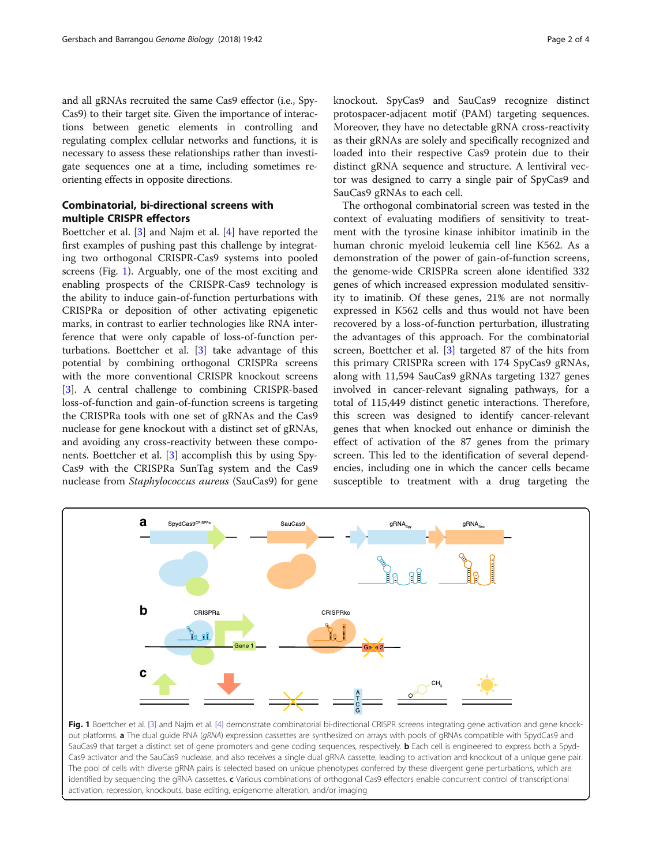and all gRNAs recruited the same Cas9 effector (i.e., Spy-Cas9) to their target site. Given the importance of interactions between genetic elements in controlling and regulating complex cellular networks and functions, it is necessary to assess these relationships rather than investigate sequences one at a time, including sometimes reorienting effects in opposite directions.

## Combinatorial, bi-directional screens with multiple CRISPR effectors

Boettcher et al. [\[3](#page-2-0)] and Najm et al. [[4\]](#page-3-0) have reported the first examples of pushing past this challenge by integrating two orthogonal CRISPR-Cas9 systems into pooled screens (Fig. 1). Arguably, one of the most exciting and enabling prospects of the CRISPR-Cas9 technology is the ability to induce gain-of-function perturbations with CRISPRa or deposition of other activating epigenetic marks, in contrast to earlier technologies like RNA interference that were only capable of loss-of-function perturbations. Boettcher et al. [[3\]](#page-2-0) take advantage of this potential by combining orthogonal CRISPRa screens with the more conventional CRISPR knockout screens [[3\]](#page-2-0). A central challenge to combining CRISPR-based loss-of-function and gain-of-function screens is targeting the CRISPRa tools with one set of gRNAs and the Cas9 nuclease for gene knockout with a distinct set of gRNAs, and avoiding any cross-reactivity between these components. Boettcher et al. [[3](#page-2-0)] accomplish this by using Spy-Cas9 with the CRISPRa SunTag system and the Cas9 nuclease from Staphylococcus aureus (SauCas9) for gene

knockout. SpyCas9 and SauCas9 recognize distinct protospacer-adjacent motif (PAM) targeting sequences. Moreover, they have no detectable gRNA cross-reactivity as their gRNAs are solely and specifically recognized and loaded into their respective Cas9 protein due to their distinct gRNA sequence and structure. A lentiviral vector was designed to carry a single pair of SpyCas9 and SauCas9 gRNAs to each cell.

The orthogonal combinatorial screen was tested in the context of evaluating modifiers of sensitivity to treatment with the tyrosine kinase inhibitor imatinib in the human chronic myeloid leukemia cell line K562. As a demonstration of the power of gain-of-function screens, the genome-wide CRISPRa screen alone identified 332 genes of which increased expression modulated sensitivity to imatinib. Of these genes, 21% are not normally expressed in K562 cells and thus would not have been recovered by a loss-of-function perturbation, illustrating the advantages of this approach. For the combinatorial screen, Boettcher et al. [\[3](#page-2-0)] targeted 87 of the hits from this primary CRISPRa screen with 174 SpyCas9 gRNAs, along with 11,594 SauCas9 gRNAs targeting 1327 genes involved in cancer-relevant signaling pathways, for a total of 115,449 distinct genetic interactions. Therefore, this screen was designed to identify cancer-relevant genes that when knocked out enhance or diminish the effect of activation of the 87 genes from the primary screen. This led to the identification of several dependencies, including one in which the cancer cells became susceptible to treatment with a drug targeting the



Fig. 1 Boettcher et al. [\[3](#page-2-0)] and Najm et al. [[4](#page-3-0)] demonstrate combinatorial bi-directional CRISPR screens integrating gene activation and gene knockout platforms. a The dual guide RNA (gRNA) expression cassettes are synthesized on arrays with pools of gRNAs compatible with SpydCas9 and SauCas9 that target a distinct set of gene promoters and gene coding sequences, respectively. **b** Each cell is engineered to express both a Spyd-Cas9 activator and the SauCas9 nuclease, and also receives a single dual gRNA cassette, leading to activation and knockout of a unique gene pair. The pool of cells with diverse gRNA pairs is selected based on unique phenotypes conferred by these divergent gene perturbations, which are identified by sequencing the gRNA cassettes. c Various combinations of orthogonal Cas9 effectors enable concurrent control of transcriptional activation, repression, knockouts, base editing, epigenome alteration, and/or imaging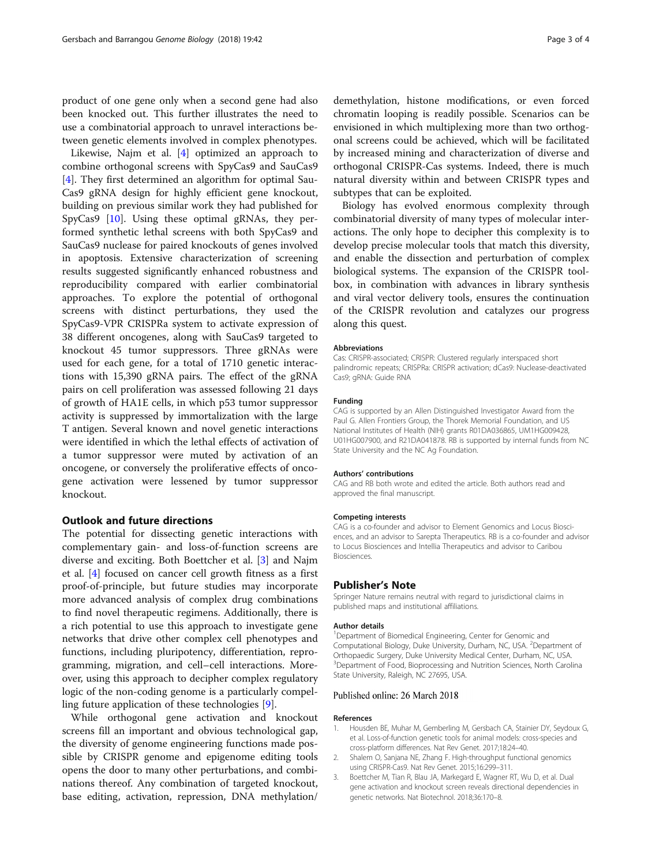<span id="page-2-0"></span>product of one gene only when a second gene had also been knocked out. This further illustrates the need to use a combinatorial approach to unravel interactions between genetic elements involved in complex phenotypes.

Likewise, Najm et al. [\[4\]](#page-3-0) optimized an approach to combine orthogonal screens with SpyCas9 and SauCas9 [[4\]](#page-3-0). They first determined an algorithm for optimal Sau-Cas9 gRNA design for highly efficient gene knockout, building on previous similar work they had published for SpyCas9 [\[10\]](#page-3-0). Using these optimal gRNAs, they performed synthetic lethal screens with both SpyCas9 and SauCas9 nuclease for paired knockouts of genes involved in apoptosis. Extensive characterization of screening results suggested significantly enhanced robustness and reproducibility compared with earlier combinatorial approaches. To explore the potential of orthogonal screens with distinct perturbations, they used the SpyCas9-VPR CRISPRa system to activate expression of 38 different oncogenes, along with SauCas9 targeted to knockout 45 tumor suppressors. Three gRNAs were used for each gene, for a total of 1710 genetic interactions with 15,390 gRNA pairs. The effect of the gRNA pairs on cell proliferation was assessed following 21 days of growth of HA1E cells, in which p53 tumor suppressor activity is suppressed by immortalization with the large T antigen. Several known and novel genetic interactions were identified in which the lethal effects of activation of a tumor suppressor were muted by activation of an oncogene, or conversely the proliferative effects of oncogene activation were lessened by tumor suppressor knockout.

## Outlook and future directions

The potential for dissecting genetic interactions with complementary gain- and loss-of-function screens are diverse and exciting. Both Boettcher et al. [3] and Najm et al. [[4\]](#page-3-0) focused on cancer cell growth fitness as a first proof-of-principle, but future studies may incorporate more advanced analysis of complex drug combinations to find novel therapeutic regimens. Additionally, there is a rich potential to use this approach to investigate gene networks that drive other complex cell phenotypes and functions, including pluripotency, differentiation, reprogramming, migration, and cell–cell interactions. Moreover, using this approach to decipher complex regulatory logic of the non-coding genome is a particularly compelling future application of these technologies [[9\]](#page-3-0).

While orthogonal gene activation and knockout screens fill an important and obvious technological gap, the diversity of genome engineering functions made possible by CRISPR genome and epigenome editing tools opens the door to many other perturbations, and combinations thereof. Any combination of targeted knockout, base editing, activation, repression, DNA methylation/ demethylation, histone modifications, or even forced chromatin looping is readily possible. Scenarios can be envisioned in which multiplexing more than two orthogonal screens could be achieved, which will be facilitated by increased mining and characterization of diverse and orthogonal CRISPR-Cas systems. Indeed, there is much natural diversity within and between CRISPR types and subtypes that can be exploited.

Biology has evolved enormous complexity through combinatorial diversity of many types of molecular interactions. The only hope to decipher this complexity is to develop precise molecular tools that match this diversity, and enable the dissection and perturbation of complex biological systems. The expansion of the CRISPR toolbox, in combination with advances in library synthesis and viral vector delivery tools, ensures the continuation of the CRISPR revolution and catalyzes our progress along this quest.

#### Abbreviations

Cas: CRISPR-associated; CRISPR: Clustered regularly interspaced short palindromic repeats; CRISPRa: CRISPR activation; dCas9: Nuclease-deactivated Cas9; gRNA: Guide RNA

#### Funding

CAG is supported by an Allen Distinguished Investigator Award from the Paul G. Allen Frontiers Group, the Thorek Memorial Foundation, and US National Institutes of Health (NIH) grants R01DA036865, UM1HG009428, U01HG007900, and R21DA041878. RB is supported by internal funds from NC State University and the NC Ag Foundation.

#### Authors' contributions

CAG and RB both wrote and edited the article. Both authors read and approved the final manuscript.

#### Competing interests

CAG is a co-founder and advisor to Element Genomics and Locus Biosciences, and an advisor to Sarepta Therapeutics. RB is a co-founder and advisor to Locus Biosciences and Intellia Therapeutics and advisor to Caribou Biosciences.

#### Publisher's Note

Springer Nature remains neutral with regard to jurisdictional claims in published maps and institutional affiliations.

#### Author details

<sup>1</sup>Department of Biomedical Engineering, Center for Genomic and Computational Biology, Duke University, Durham, NC, USA. <sup>2</sup>Department of Orthopaedic Surgery, Duke University Medical Center, Durham, NC, USA. <sup>3</sup>Department of Food, Bioprocessing and Nutrition Sciences, North Carolina State University, Raleigh, NC 27695, USA.

#### Published online: 26 March 2018

#### References

- 1. Housden BE, Muhar M, Gemberling M, Gersbach CA, Stainier DY, Seydoux G, et al. Loss-of-function genetic tools for animal models: cross-species and cross-platform differences. Nat Rev Genet. 2017;18:24–40.
- 2. Shalem O, Sanjana NE, Zhang F. High-throughput functional genomics using CRISPR-Cas9. Nat Rev Genet. 2015;16:299–311.
- 3. Boettcher M, Tian R, Blau JA, Markegard E, Wagner RT, Wu D, et al. Dual gene activation and knockout screen reveals directional dependencies in genetic networks. Nat Biotechnol. 2018;36:170–8.